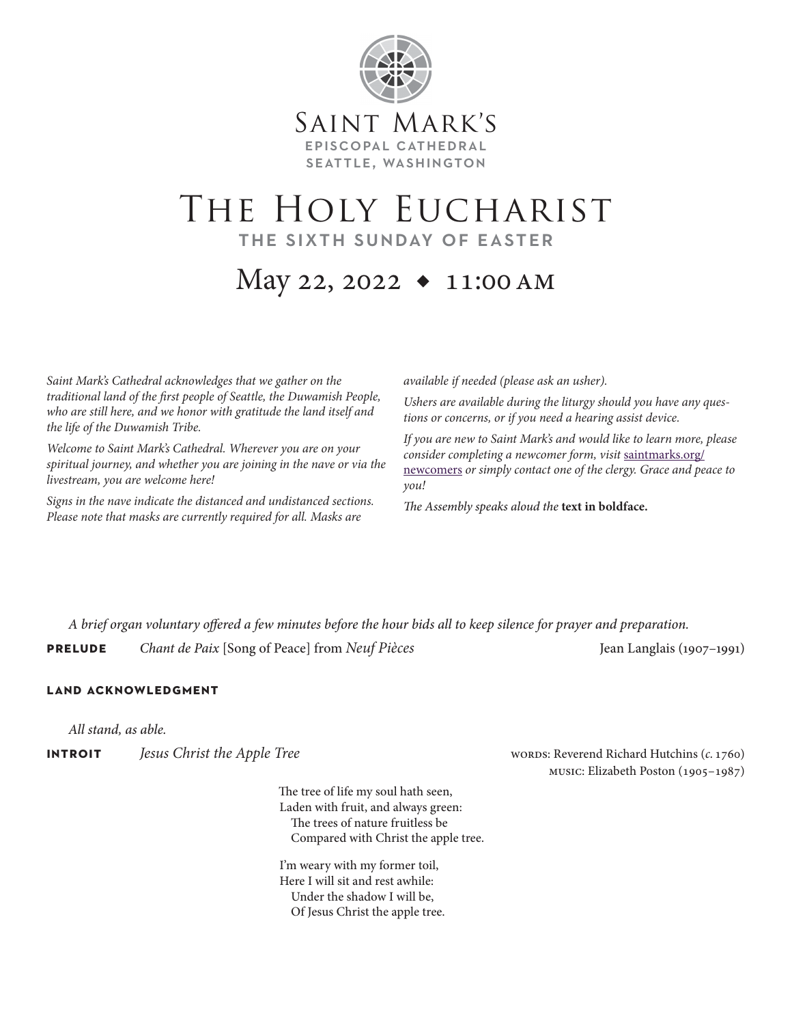

## THE HOLY EUCHARIST the sixth sunday of easter

## May 22, 2022  $\bullet$  11:00 AM

*Saint Mark's Cathedral acknowledges that we gather on the traditional land of the first people of Seattle, the Duwamish People, who are still here, and we honor with gratitude the land itself and the life of the Duwamish Tribe.* 

*Welcome to Saint Mark's Cathedral. Wherever you are on your spiritual journey, and whether you are joining in the nave or via the livestream, you are welcome here!*

*Signs in the nave indicate the distanced and undistanced sections. Please note that masks are currently required for all. Masks are* 

*available if needed (please ask an usher).*

*Ushers are available during the liturgy should you have any questions or concerns, or if you need a hearing assist device.*

*If you are new to Saint Mark's and would like to learn more, please consider completing a newcomer form, visit* saintmarks.org/ newcomers *or simply contact one of the clergy. Grace and peace to you!*

*The Assembly speaks aloud the* **text in boldface.**

*A brief organ voluntary offered a few minutes before the hour bids all to keep silence for prayer and preparation.*

**prelude** *Chant de Paix* [Song of Peace] from *Neuf Pièces* Jean Langlais (1907–1991)

#### **land acknowledgment**

*All stand, as able.*

**INTROIT** *Jesus Christ the Apple Tree* words: Reverend Richard Hutchins (*c.* 1760)

The tree of life my soul hath seen, Laden with fruit, and always green: The trees of nature fruitless be Compared with Christ the apple tree.

I'm weary with my former toil, Here I will sit and rest awhile: Under the shadow I will be, Of Jesus Christ the apple tree. music: Elizabeth Poston (1905–1987)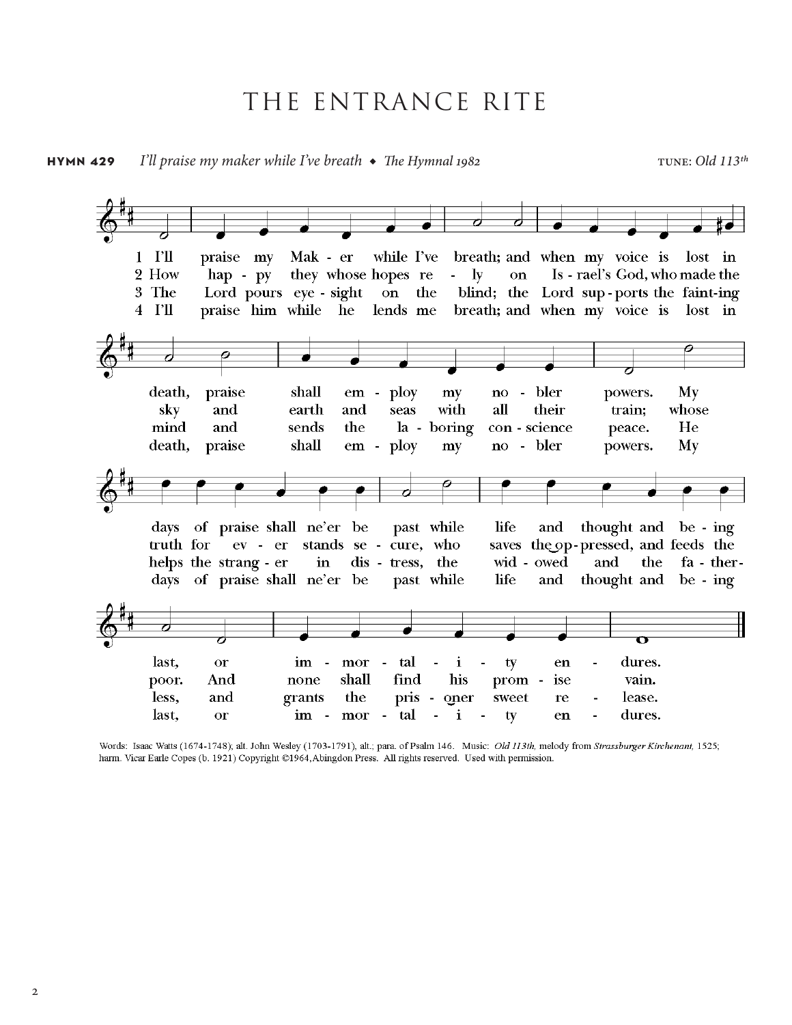## THE ENTRANCE RITE





Words: Isaac Watts (1674-1748); alt. John Wesley (1703-1791), alt.; para. of Psalm 146. Music: Old 113th, melody from Strassburger Kirchenant, 1525; harm. Vicar Earle Copes (b. 1921) Copyright ©1964, Abingdon Press. All rights reserved. Used with permission.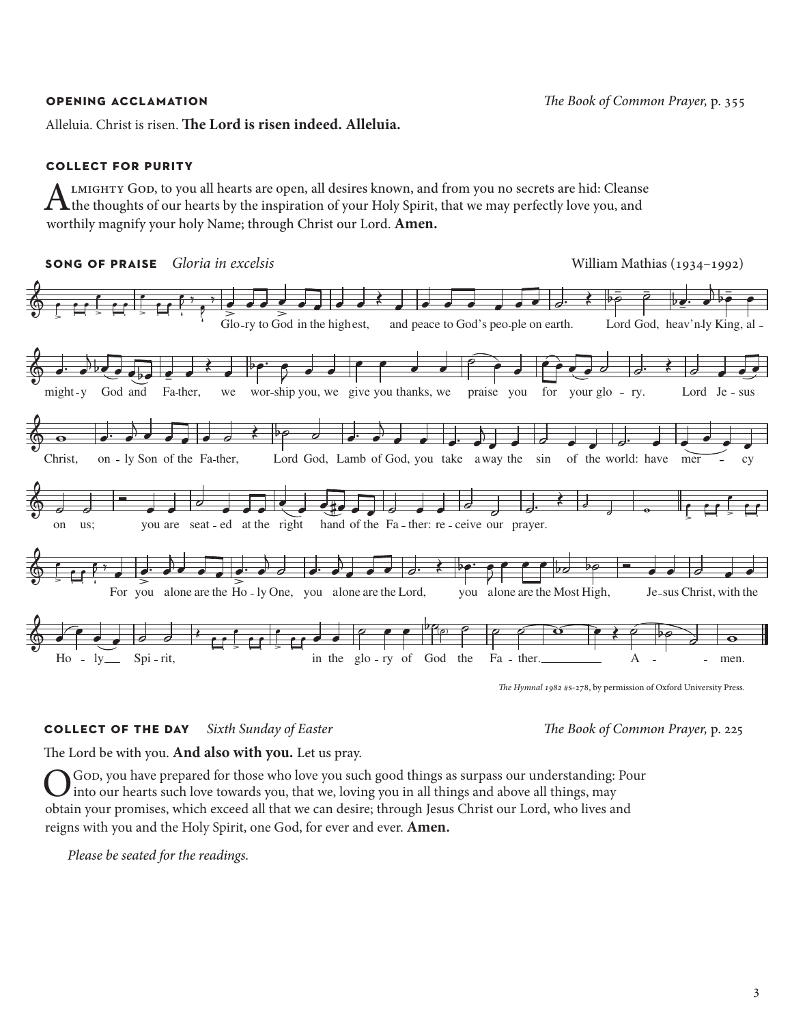Alleluia. Christ is risen. **The Lord is risen indeed. Alleluia.**

### **collect for purity**

ALMIGHTY GOD, to you all hearts are open, all desires known, and from you no secrets are hid: Cleanse<br>the thoughts of our hearts by the inspiration of your Holy Spirit, that we may perfectly love you, and worthily magnify your holy Name; through Christ our Lord. **Amen.**



### **collect of the day** *Sixth Sunday of Easter The Book of Common Prayer,* p. 225

The Lord be with you. **And also with you.** Let us pray.

GOD, you have prepared for those who love you such good things as surpass our understanding: Pour into our hearts such love towards you, that we, loving you in all things and above all things, may obtain your promises, which exceed all that we can desire; through Jesus Christ our Lord, who lives and reigns with you and the Holy Spirit, one God, for ever and ever. **Amen.**

*Please be seated for the readings.*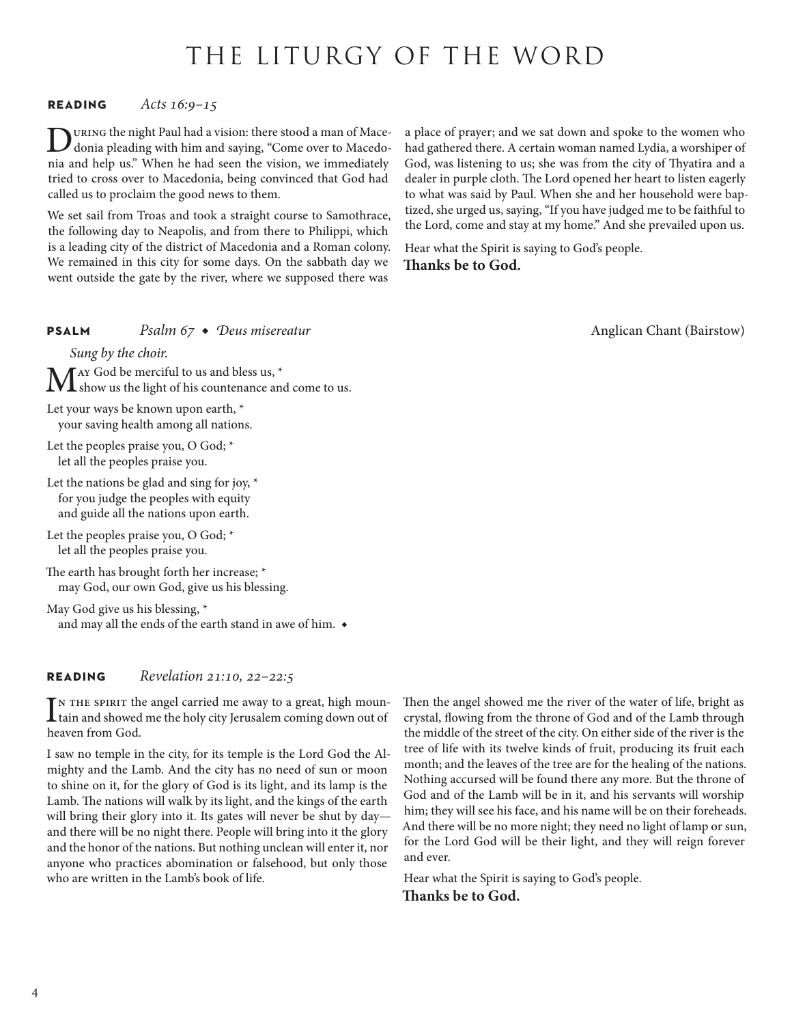## THE LITURGY OF THE WORD

### **reading** *Acts 16:9–15*

DURING the night Paul had a vision: there stood a man of Mace-<br>donia pleading with him and saying, "Come over to Macedonia and help us." When he had seen the vision, we immediately tried to cross over to Macedonia, being convinced that God had called us to proclaim the good news to them.

We set sail from Troas and took a straight course to Samothrace, the following day to Neapolis, and from there to Philippi, which is a leading city of the district of Macedonia and a Roman colony. We remained in this city for some days. On the sabbath day we went outside the gate by the river, where we supposed there was

a place of prayer; and we sat down and spoke to the women who had gathered there. A certain woman named Lydia, a worshiper of God, was listening to us; she was from the city of Thyatira and a dealer in purple cloth. The Lord opened her heart to listen eagerly to what was said by Paul. When she and her household were baptized, she urged us, saying, "If you have judged me to be faithful to the Lord, come and stay at my home." And she prevailed upon us.

Hear what the Spirit is saying to God's people.

**Thanks be to God.**

**PSALM** *Psalm 67 • Deus misereatur* **Anglican Chant (Bairstow) Anglican Chant (Bairstow)** 

*Sung by the choir.*

 $\mathbf{M}$ show us the light of his countenance and come to us.

- Let your ways be known upon earth, \* your saving health among all nations.
- Let the peoples praise you, O God; \* let all the peoples praise you.
- Let the nations be glad and sing for joy,  $^\star$  for you judge the peoples with equity and guide all the nations upon earth.
- Let the peoples praise you, O God; \* let all the peoples praise you.

The earth has brought forth her increase; \* may God, our own God, give us his blessing.

May God give us his blessing, \* and may all the ends of the earth stand in awe of him. ◆

#### **reading** *Revelation 21:10, 22–22:5*

IN THE SPIRIT the angel carried me away to a great, high mountain and showed me the holy city Jerusalem coming down out of tain and showed me the holy city Jerusalem coming down out of heaven from God.

I saw no temple in the city, for its temple is the Lord God the Almighty and the Lamb. And the city has no need of sun or moon to shine on it, for the glory of God is its light, and its lamp is the Lamb. The nations will walk by its light, and the kings of the earth will bring their glory into it. Its gates will never be shut by day and there will be no night there. People will bring into it the glory and the honor of the nations. But nothing unclean will enter it, nor anyone who practices abomination or falsehood, but only those who are written in the Lamb's book of life.

Then the angel showed me the river of the water of life, bright as crystal, flowing from the throne of God and of the Lamb through the middle of the street of the city. On either side of the river is the tree of life with its twelve kinds of fruit, producing its fruit each month; and the leaves of the tree are for the healing of the nations. Nothing accursed will be found there any more. But the throne of God and of the Lamb will be in it, and his servants will worship him; they will see his face, and his name will be on their foreheads. And there will be no more night; they need no light of lamp or sun, for the Lord God will be their light, and they will reign forever and ever.

Hear what the Spirit is saying to God's people. **Thanks be to God.**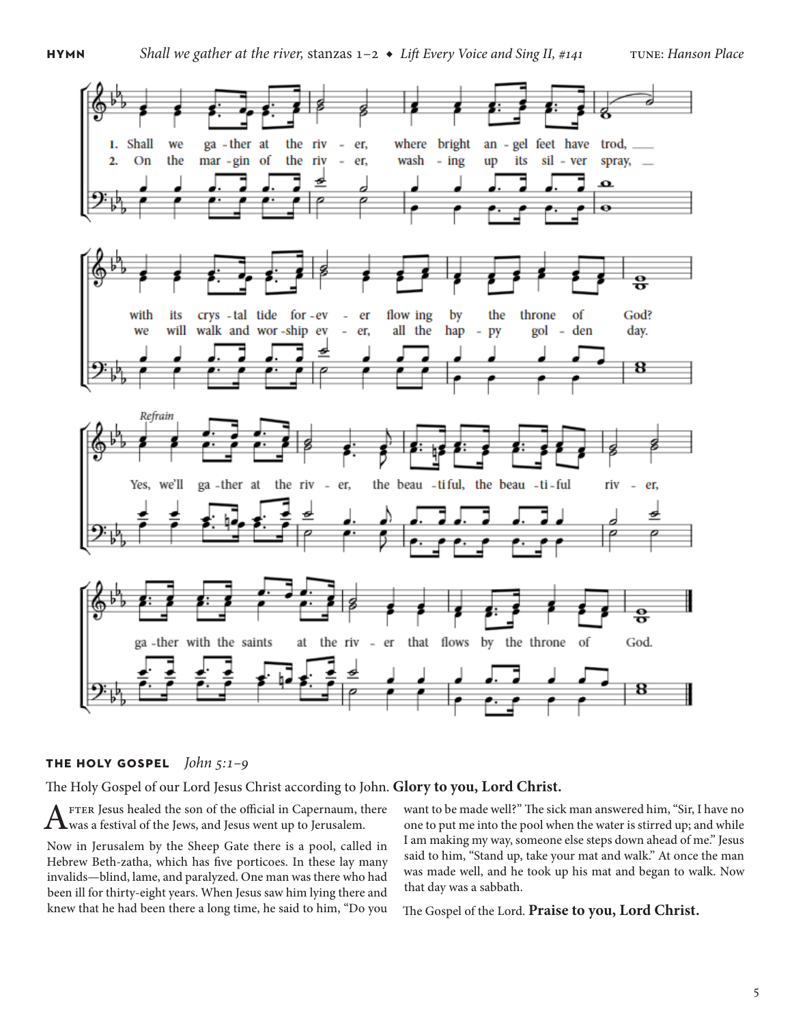

#### **the holy gospel** *John 5:1–9*

The Holy Gospel of our Lord Jesus Christ according to John. **Glory to you, Lord Christ.**

 $A$  FTER Jesus healed the son of the official in Capernaum, there was a festival of the Jews, and Jesus went up to Jerusalem.

Now in Jerusalem by the Sheep Gate there is a pool, called in Hebrew Beth-zatha, which has five porticoes. In these lay many invalids—blind, lame, and paralyzed. One man was there who had been ill for thirty-eight years. When Jesus saw him lying there and knew that he had been there a long time, he said to him, "Do you want to be made well?" The sick man answered him, "Sir, I have no one to put me into the pool when the water is stirred up; and while I am making my way, someone else steps down ahead of me." Jesus said to him, "Stand up, take your mat and walk." At once the man was made well, and he took up his mat and began to walk. Now that day was a sabbath.

The Gospel of the Lord. **Praise to you, Lord Christ.**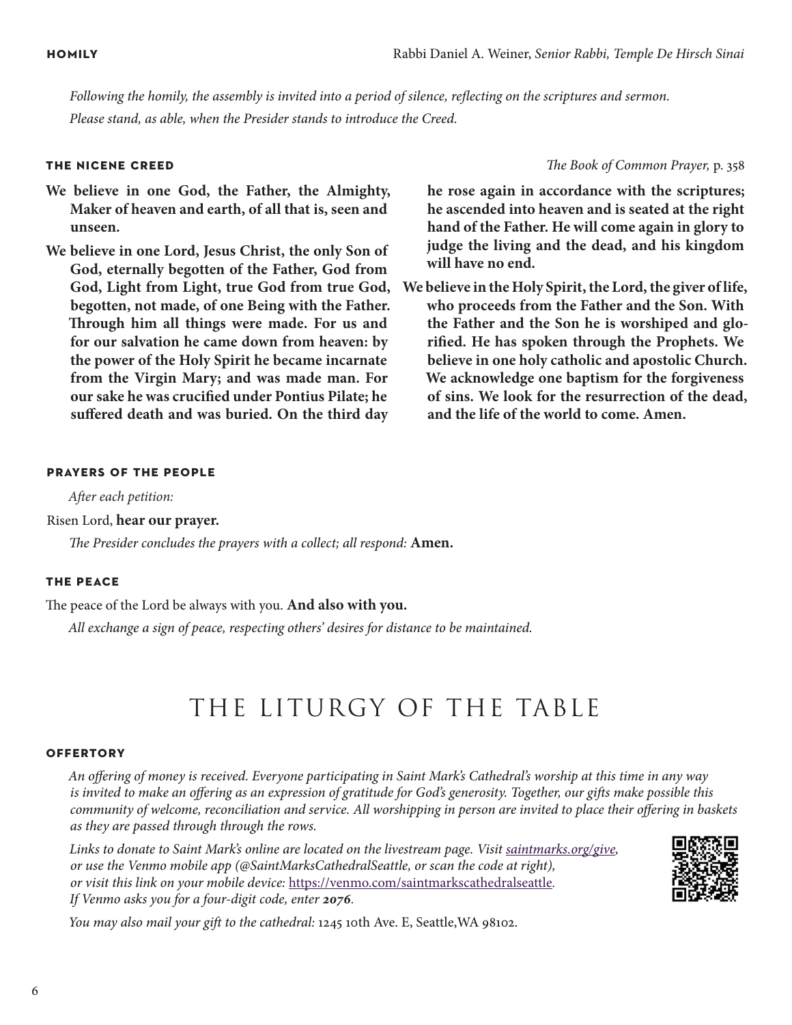*Following the homily, the assembly is invited into a period of silence, reflecting on the scriptures and sermon. Please stand, as able, when the Presider stands to introduce the Creed.*

- **We believe in one God, the Father, the Almighty, Maker of heaven and earth, of all that is, seen and unseen.**
- **We believe in one Lord, Jesus Christ, the only Son of God, eternally begotten of the Father, God from God, Light from Light, true God from true God, begotten, not made, of one Being with the Father. Through him all things were made. For us and for our salvation he came down from heaven: by the power of the Holy Spirit he became incarnate from the Virgin Mary; and was made man. For our sake he was crucified under Pontius Pilate; he suffered death and was buried. On the third day**

#### **the nicene creed** *The Book of Common Prayer,* p. 358

**he rose again in accordance with the scriptures; he ascended into heaven and is seated at the right hand of the Father. He will come again in glory to judge the living and the dead, and his kingdom will have no end.**

**We believe in the Holy Spirit, the Lord, the giver of life, who proceeds from the Father and the Son. With the Father and the Son he is worshiped and glorified. He has spoken through the Prophets. We believe in one holy catholic and apostolic Church. We acknowledge one baptism for the forgiveness of sins. We look for the resurrection of the dead, and the life of the world to come. Amen.**

#### **prayers of the people**

*After each petition:*

Risen Lord, **hear our prayer.**

*The Presider concludes the prayers with a collect; all respond:* **Amen.**

### **the peace**

The peace of the Lord be always with you. **And also with you.**

*All exchange a sign of peace, respecting others' desires for distance to be maintained.* 

# THE LITURGY OF THE TABLE

#### **offertory**

*An offering of money is received. Everyone participating in Saint Mark's Cathedral's worship at this time in any way is invited to make an offering as an expression of gratitude for God's generosity. Together, our gifts make possible this community of welcome, reconciliation and service. All worshipping in person are invited to place their offering in baskets as they are passed through through the rows.* 

Links to donate to Saint Mark's online are located on the livestream page. Visit [saintmarks.org/give,](http://saintmarks.org/give) *or use the Venmo mobile app (@SaintMarksCathedralSeattle, or scan the code at right), or visit this link on your mobile device:* <https://venmo.com/saintmarkscathedralseattle>*. If Venmo asks you for a four-digit code, enter 2076.*



*You may also mail your gift to the cathedral:* 1245 10th Ave. E, Seattle,WA 98102.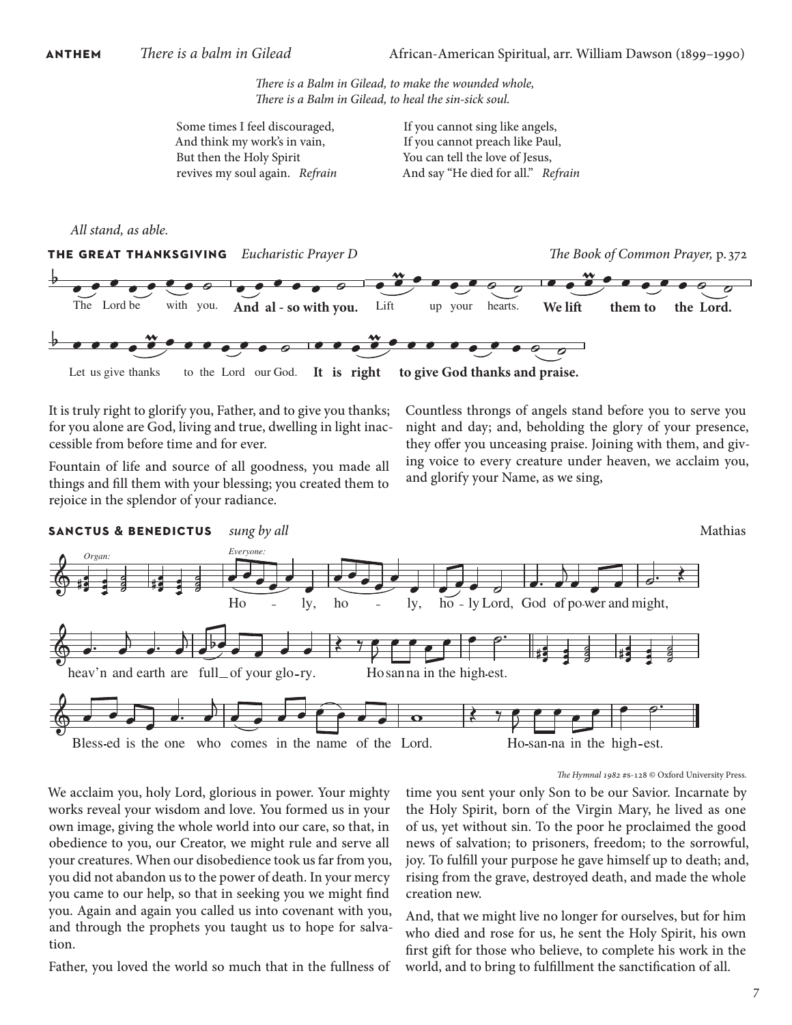*There is a Balm in Gilead, to make the wounded whole, There is a Balm in Gilead, to heal the sin-sick soul.*

 $\overline{a}$ Some times I feel discouraged, And think my work's in vain, But then the Holy Spirit revives my soul again. *Refrain*

If you cannot sing like angels, If you cannot preach like Paul, You can tell the love of Jesus, And say "He died for all." *Refrain*

.<br>All stand, as able.



them to the Let  $\frac{1}{2}$  and  $\frac{1}{2}$  and  $\frac{1}{2}$ to give god thanks and praise.  $\mathcal{L}$  as  $\mathcal{L}$  is the mass It is right to give God thanks and praise. is right Let us give thanks to the Lord our God. It

It is truly right to glorify you, Father, and to give you thanks;<br>for you alone are God, living and true, dwelling in light inac-It is truly right to glorify you, Father, and to give you thanks;<br>for you alone are God, living and true, dwelling in light inac-<br>assible from hefore time and for succ cessible from before time and for ever. is right us give thanks Let Lord God. our to It the …now

Fountain of life and source of all goodness, you made all things and fill them with your blessing; you created them to things and in them with your blessing;<br>rejoice in the splendor of your radiance.

Countless throngs of angels stand before you to serve you ks; Countless throngs of angels stand before you to serve you<br>ac- night and day; and, beholding the glory of your presence,<br>they offer you unecessing major. Joining with them, and give they offer you unceasing praise. Joining with them, and giving voice to every creature under heaven, we acclaim you, and glorify your Name, as we sing,



*The Hymnal 1982* #s-128 © Oxford University Press.

We acclaim you, holy Lord, glorious in power. Your mighty works reveal your wisdom and love. You formed us in your own image, giving the whole world into our care, so that, in obedience to you, our Creator, we might rule and serve all your creatures. When our disobedience took us far from you, you did not abandon us to the power of death. In your mercy you came to our help, so that in seeking you we might find you. Again and again you called us into covenant with you, and through the prophets you taught us to hope for salvation.

Father, you loved the world so much that in the fullness of

time you sent your only Son to be our Savior. Incarnate by the Holy Spirit, born of the Virgin Mary, he lived as one of us, yet without sin. To the poor he proclaimed the good news of salvation; to prisoners, freedom; to the sorrowful, joy. To fulfill your purpose he gave himself up to death; and, rising from the grave, destroyed death, and made the whole creation new.

And, that we might live no longer for ourselves, but for him who died and rose for us, he sent the Holy Spirit, his own first gift for those who believe, to complete his work in the world, and to bring to fulfillment the sanctification of all.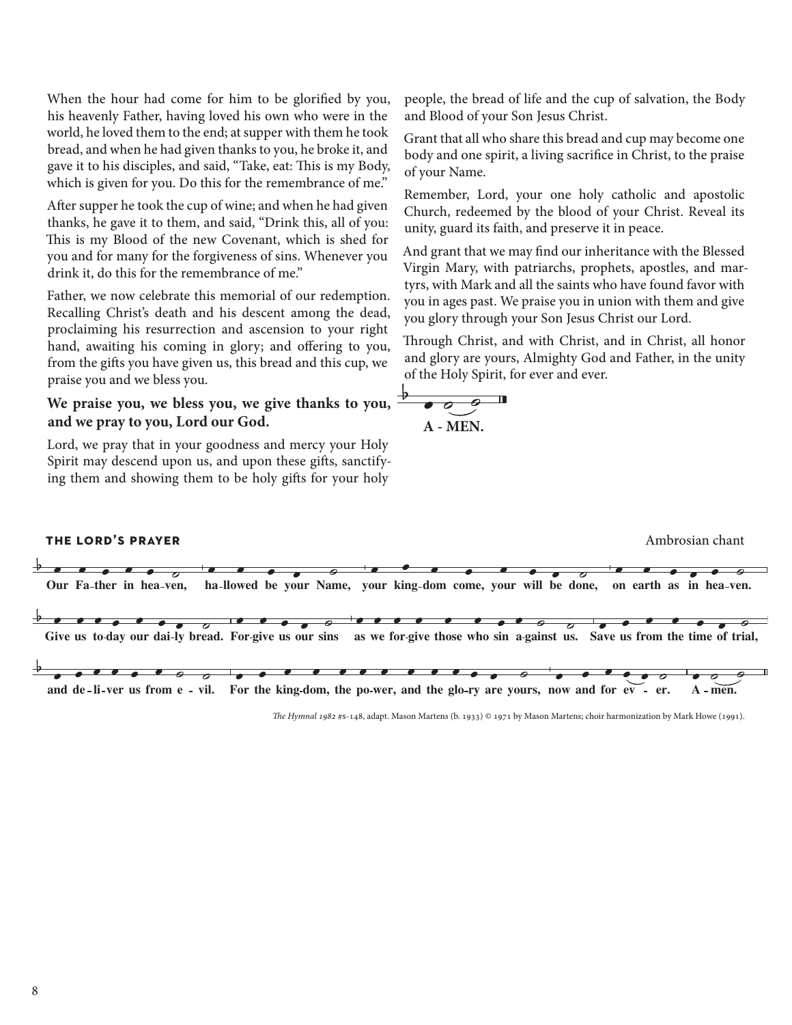When the hour had come for him to be glorified by you, his heavenly Father, having loved his own who were in the world, he loved them to the end; at supper with them he took bread, and when he had given thanks to you, he broke it, and gave it to his disciples, and said, "Take, eat: This is my Body, which is given for you. Do this for the remembrance of me."

After supper he took the cup of wine; and when he had given thanks, he gave it to them, and said, "Drink this, all of you: This is my Blood of the new Covenant, which is shed for you and for many for the forgiveness of sins. Whenever you drink it, do this for the remembrance of me."

Father, we now celebrate this memorial of our redemption. Recalling Christ's death and his descent among the dead, proclaiming his resurrection and ascension to your right hand, awaiting his coming in glory; and offering to you, from the gifts you have given us, this bread and this cup, we praise you and we bless you.

### **We praise you, we bless you, we give thanks to you, and we pray to you, Lord our God.**

Lord, we pray that in your goodness and mercy your Holy Spirit may descend upon us, and upon these gifts, sanctifying them and showing them to be holy gifts for your holy

people, the bread of life and the cup of salvation, the Body and Blood of your Son Jesus Christ.

Grant that all who share this bread and cup may become one body and one spirit, a living sacrifice in Christ, to the praise oody and one s<br>of your Name.  $\mathfrak{k}$ 

Remember, Lord, your one holy catholic and apostolic Church, redeemed by the blood of your Christ. Reveal its unity, guard its faith, and preserve it in peace.<br>And grant that we may find our inheritance wi

unity, guard its taith, and preserve it in peace.<br>And grant that we may find our inheritance with the Blessed Virgin Mary, with patriarchs, prophets, apostles, and martyrs, with Mark and all the saints who have found favor with you in ages past. We praise you in union with them and give<br>you glory through your Son Jesus Christ our Lord. you in ages past. We praise you in union with them and give<br>you glory through your Son Jesus Christ our Lord. ve vertiliser

Through Christ, and with Christ, and in Christ, all honor and glory are yours, Almighty God and Father, in the unity of the Holy Spirit, for ever and ever.





*The Hymnal 1982* #s-148, adapt. Mason Martens (b. 1933) © 1971 by Mason Martens; choir harmonization by Mark Howe (1991).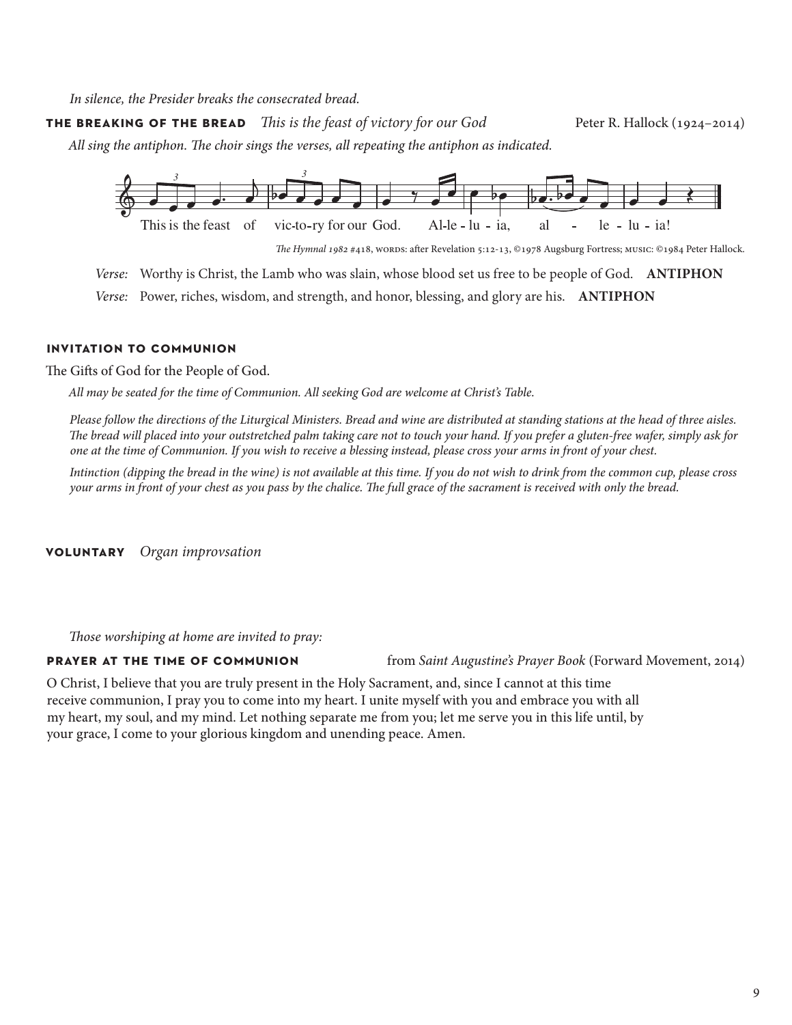*In silence, the Presider breaks the consecrated bread.*

### **the breaking of the bread** *This is the feast of victory for our God* Peter R. Hallock (1924–2014)

*All sing the antiphon. The choir sings the verses, all repeating the antiphon as indicated.*



*The Hymnal 1982* #418, WORDS: after Revelation 5:12-13, ©1978 Augsburg Fortress; MUSIC: ©1984 Peter Hallock.

*Verse:* Worthy is Christ, the Lamb who was slain, whose blood set us free to be people of God. **ANTIPHON**

*Verse:* Power, riches, wisdom, and strength, and honor, blessing, and glory are his. **ANTIPHON**

#### **invitation to communion**

The Gifts of God for the People of God.

*All may be seated for the time of Communion. All seeking God are welcome at Christ's Table.* 

*Please follow the directions of the Liturgical Ministers. Bread and wine are distributed at standing stations at the head of three aisles. The bread will placed into your outstretched palm taking care not to touch your hand. If you prefer a gluten-free wafer, simply ask for one at the time of Communion. If you wish to receive a blessing instead, please cross your arms in front of your chest.*

*Intinction (dipping the bread in the wine) is not available at this time. If you do not wish to drink from the common cup, please cross your arms in front of your chest as you pass by the chalice. The full grace of the sacrament is received with only the bread.*

**voluntary** *Organ improvsation*

*Those worshiping at home are invited to pray:*

**prayer at the time of communion** from *Saint Augustine's Prayer Book* (Forward Movement, 2014)

O Christ, I believe that you are truly present in the Holy Sacrament, and, since I cannot at this time receive communion, I pray you to come into my heart. I unite myself with you and embrace you with all my heart, my soul, and my mind. Let nothing separate me from you; let me serve you in this life until, by your grace, I come to your glorious kingdom and unending peace. Amen.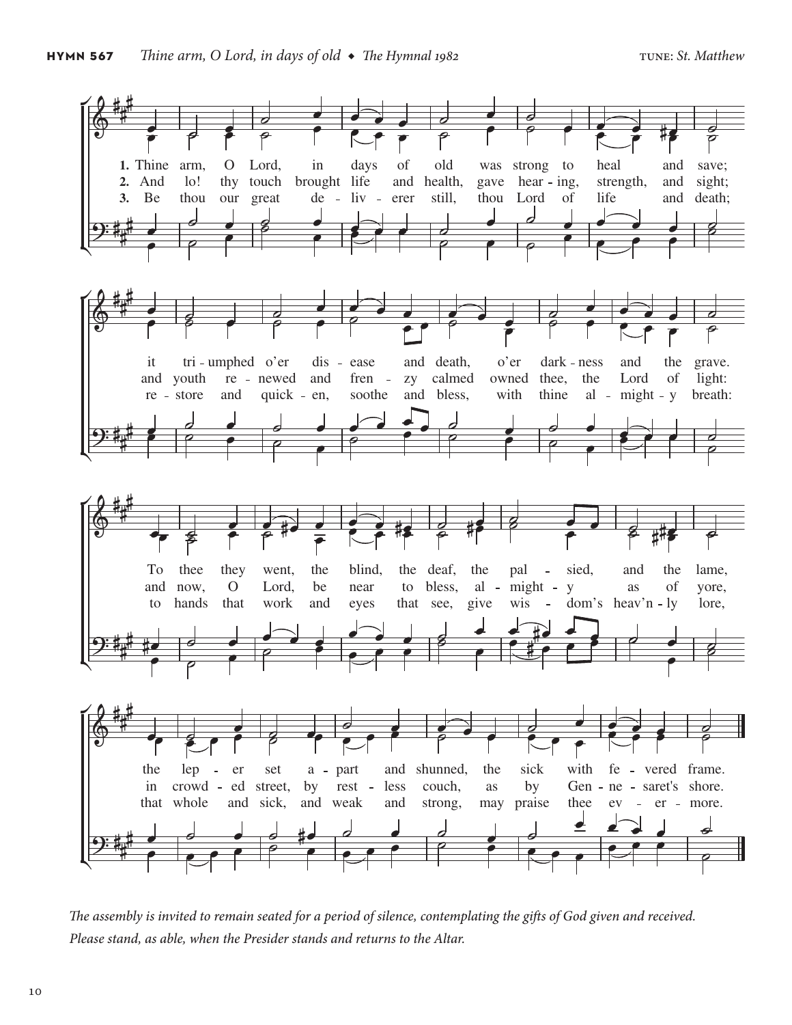

*The assembly is invited to remain seated for a period of silence, contemplating the gifts of God given and received. Please stand, as able, when the Presider stands and returns to the Altar.*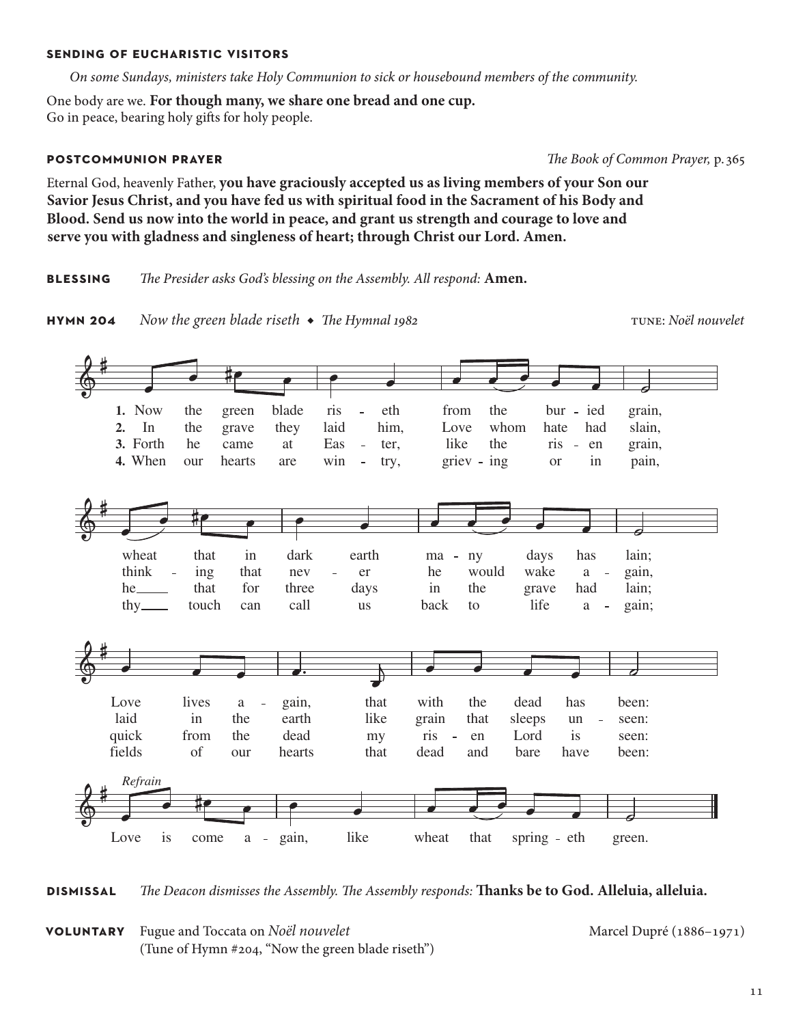#### **sending of eucharistic visitors**

*On some Sundays, ministers take Holy Communion to sick or housebound members of the community.* 

One body are we. **For though many, we share one bread and one cup.** Go in peace, bearing holy gifts for holy people.

**postcommunion prayer** *The Book of Common Prayer,* p. 365

Eternal God, heavenly Father, **you have graciously accepted us as living members of your Son our Savior Jesus Christ, and you have fed us with spiritual food in the Sacrament of his Body and Blood. Send us now into the world in peace, and grant us strength and courage to love and serve you with gladness and singleness of heart; through Christ our Lord. Amen.**

**blessing** *The Presider asks God's blessing on the Assembly. All respond:* **Amen.**

### **hymn 204** Now the green blade riseth ◆ The Hymnal 1982 tune: Noël nouvelet



**dismissal** *The Deacon dismisses the Assembly. The Assembly responds:* **Thanks be to God. Alleluia, alleluia.**

**voluntary** Fugue and Toccata on *Noël nouvelet* Marcel Dupré (1886–1971) (Tune of Hymn #204, "Now the green blade riseth")

11